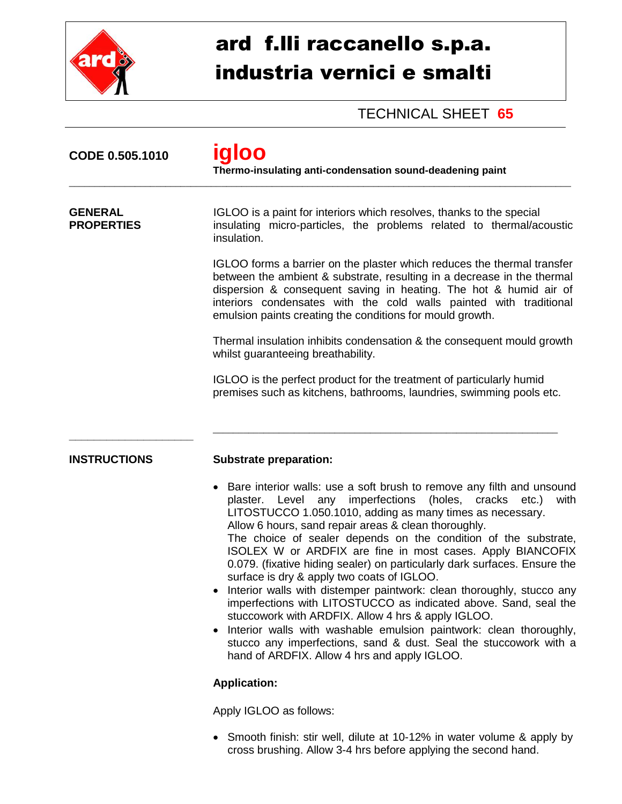

## ard f.lli raccanello s.p.a. industria vernici e smalti

TECHNICAL SHEET **65**

| CODE 0.505.1010                     | igloo<br>Thermo-insulating anti-condensation sound-deadening paint                                                                                                                                                                                                                                                                                                                                                                                                                                                                                                                                                                                                                                                                                                                                                                                                                                                    |  |  |
|-------------------------------------|-----------------------------------------------------------------------------------------------------------------------------------------------------------------------------------------------------------------------------------------------------------------------------------------------------------------------------------------------------------------------------------------------------------------------------------------------------------------------------------------------------------------------------------------------------------------------------------------------------------------------------------------------------------------------------------------------------------------------------------------------------------------------------------------------------------------------------------------------------------------------------------------------------------------------|--|--|
| <b>GENERAL</b><br><b>PROPERTIES</b> | IGLOO is a paint for interiors which resolves, thanks to the special<br>insulating micro-particles, the problems related to thermal/acoustic<br>insulation.                                                                                                                                                                                                                                                                                                                                                                                                                                                                                                                                                                                                                                                                                                                                                           |  |  |
|                                     | IGLOO forms a barrier on the plaster which reduces the thermal transfer<br>between the ambient & substrate, resulting in a decrease in the thermal<br>dispersion & consequent saving in heating. The hot & humid air of<br>interiors condensates with the cold walls painted with traditional<br>emulsion paints creating the conditions for mould growth.                                                                                                                                                                                                                                                                                                                                                                                                                                                                                                                                                            |  |  |
|                                     | Thermal insulation inhibits condensation & the consequent mould growth<br>whilst guaranteeing breathability.                                                                                                                                                                                                                                                                                                                                                                                                                                                                                                                                                                                                                                                                                                                                                                                                          |  |  |
|                                     | IGLOO is the perfect product for the treatment of particularly humid<br>premises such as kitchens, bathrooms, laundries, swimming pools etc.                                                                                                                                                                                                                                                                                                                                                                                                                                                                                                                                                                                                                                                                                                                                                                          |  |  |
| <b>INSTRUCTIONS</b>                 | <b>Substrate preparation:</b>                                                                                                                                                                                                                                                                                                                                                                                                                                                                                                                                                                                                                                                                                                                                                                                                                                                                                         |  |  |
|                                     | Bare interior walls: use a soft brush to remove any filth and unsound<br>plaster. Level any imperfections (holes, cracks etc.)<br>with<br>LITOSTUCCO 1.050.1010, adding as many times as necessary.<br>Allow 6 hours, sand repair areas & clean thoroughly.<br>The choice of sealer depends on the condition of the substrate,<br>ISOLEX W or ARDFIX are fine in most cases. Apply BIANCOFIX<br>0.079. (fixative hiding sealer) on particularly dark surfaces. Ensure the<br>surface is dry & apply two coats of IGLOO.<br>Interior walls with distemper paintwork: clean thoroughly, stucco any<br>imperfections with LITOSTUCCO as indicated above. Sand, seal the<br>stuccowork with ARDFIX. Allow 4 hrs & apply IGLOO.<br>Interior walls with washable emulsion paintwork: clean thoroughly,<br>stucco any imperfections, sand & dust. Seal the stuccowork with a<br>hand of ARDFIX. Allow 4 hrs and apply IGLOO. |  |  |
|                                     | <b>Application:</b>                                                                                                                                                                                                                                                                                                                                                                                                                                                                                                                                                                                                                                                                                                                                                                                                                                                                                                   |  |  |
|                                     | Apply IGLOO as follows:                                                                                                                                                                                                                                                                                                                                                                                                                                                                                                                                                                                                                                                                                                                                                                                                                                                                                               |  |  |

 Smooth finish: stir well, dilute at 10-12% in water volume & apply by cross brushing. Allow 3-4 hrs before applying the second hand.